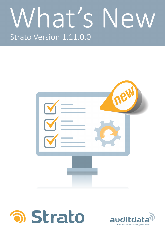# What's New Strato Version 1.11.0.0





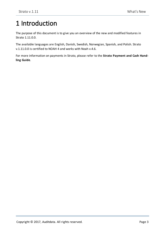## <span id="page-2-0"></span>1 Introduction

The purpose of this document is to give you an overview of the new and modified features in Strato 1.11.0.0.

The available languages are English, Danish, Swedish, Norwegian, Spanish, and Polish. Strato v.1.11.0.0 is certified to NOAH 4 and works with Noah v.4.6.

For more information on payments in Strato, please refer to the **Strato Payment and Cash Handling Guide**.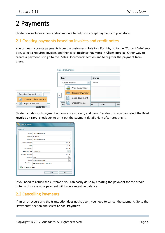## <span id="page-3-0"></span>2 Payments

<span id="page-3-1"></span>Strato now includes a new add-on module to help you accept payments in your store.

#### 2.1 Creating payments based on invoices and credit notes

You can easily create payments from the customer's **Sale** tab. For this, go to the "Current Sale" section, select a required invoice, and then click **Register Payment** -> **Client Invoice**. Other way to create a payment is to go to the "Sales Documents" section and to register the payment from there.

|                                                    | <b>Sales Documents</b>                 |                  |
|----------------------------------------------------|----------------------------------------|------------------|
|                                                    | Type                                   | <b>Status</b>    |
|                                                    | Client Invoice<br>▼                    | New              |
|                                                    | Print document                         |                  |
| Register Payment                                   | Register Payment<br>$\Box$<br>$\Delta$ |                  |
| 0000012 Client Invoice<br>$\overline{\phantom{a}}$ | Close document                         |                  |
| Register Deposit<br><b>Quantity</b>                | Credit Invoice<br>≡<br>Pal             | Am<br>Date<br>be |

Strato includes such payment options as cash, card, and bank. Besides this, you can select the **Print receipt on save** check box to print out the payment details right after creating it.

| <b>Register Payment</b>    | $\overline{\mathbf{x}}$                       |  |  |  |
|----------------------------|-----------------------------------------------|--|--|--|
| Payment                    |                                               |  |  |  |
| Client                     | Johann Rasmussen                              |  |  |  |
| Invoice                    | 0000012                                       |  |  |  |
| <b>Debitor</b>             | <b>Johann Rasmussen</b>                       |  |  |  |
| <b>Invoice Amount</b>      | €25.00                                        |  |  |  |
| Paid                       | €0.00                                         |  |  |  |
| Outstanding                | €25.00                                        |  |  |  |
| <b>Payment Date</b>        | 13-Mar-17<br>т                                |  |  |  |
| <b>Payment Amount</b>      | €25.00                                        |  |  |  |
| Method                     | Cash<br>v                                     |  |  |  |
| Office                     | Copenhagen Office<br>$\overline{\phantom{a}}$ |  |  |  |
| <b>Description</b>         | Payment by Invoice #0000012                   |  |  |  |
| Print receipt on save<br>M |                                               |  |  |  |
|                            | Cancel<br>Save                                |  |  |  |

<span id="page-3-2"></span>If you need to refund the customer, you can easily do so by creating the payment for the credit note. In this case your payment will have a negative balance.

#### 2.2 Cancelling Payments

If an error occurs and the transaction does not happen, you need to cancel the payment. Go to the "Payments" section and select **Cancel Payment**.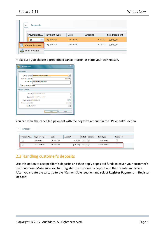| $\Delta$ | <b>Payments</b>         |              |           |        |                      |
|----------|-------------------------|--------------|-----------|--------|----------------------|
|          | Payment Nu              | Payment Type | Date      | Amount | <b>Sale Document</b> |
| 56       | $\overline{\mathbf{v}}$ | By invoice   | 27-Jan-17 | €20.00 | 0000026              |
|          | Cancel Payment          | By invoice   | 27-Jan-17 | €15.00 | 0000026              |
|          | Print Receipt           |              |           |        |                      |

Make sure you choose a predefined cancel reason or state your own reason.

| <b>Cancel Payment</b>  | $\mathbf{x}$                                     |
|------------------------|--------------------------------------------------|
| Cancellation           |                                                  |
| Cancel reason          | Payment not happened<br>$\overline{\phantom{a}}$ |
| <b>Payment Amount</b>  | (E25.00)                                         |
| <b>Description</b>     | <b>Payment cancellation</b>                      |
| Print receipt on save  |                                                  |
| <b>Related Payment</b> |                                                  |
| Client                 | Johann Rasmussen                                 |
| <b>Debitor</b>         | Johann Rasmussen                                 |
| <b>Payment Date</b>    | 10-Mar-17                                        |
| <b>Payment Amount</b>  | €25.00                                           |
| Method                 | Card<br>$\overline{\phantom{a}}$                 |
|                        | Cancel<br>Save                                   |

You can view the cancelled payment with the negative amount in the "Payments" section.

| <b>Payments</b> |              |           |          |               |                |          |
|-----------------|--------------|-----------|----------|---------------|----------------|----------|
| Payment Nu      | Payment Type | Date      | Amount   | Sale Document | Sale Type      | Canceled |
| 12              | By invoice   | 10-Mar-17 | €25.00   | 0000012       | Client Invoice | v        |
| 13              | Cancellation | 10-Mar-17 | (E25.00) | 0000012       | Client Invoice |          |

#### <span id="page-4-0"></span>2.3 Handling customer's deposits

Use this option to accept client's deposits and then apply deposited funds to cover your customer's next purchase. Make sure you first register the customer's deposit and then create an invoice. After you create the sale, go to the "Current Sale" section and select **Register Payment** -> **Register Deposit**.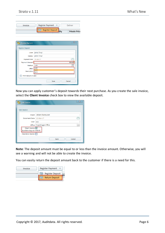|         | Register Deposit | <b>Private Price</b> |
|---------|------------------|----------------------|
| Invoice | Register Payment | Deliver              |

| <b>Register Deposit</b> |                     |  |        |
|-------------------------|---------------------|--|--------|
|                         | Client james Tonyt  |  |        |
| <b>Debitor</b>          | james Tonyt         |  |        |
| <b>Payment Date</b>     | 26-Jan-17           |  |        |
| <b>Payment Amount</b>   |                     |  | €30.00 |
| Method                  | Cash                |  | ÷      |
| Office                  | Cash                |  |        |
| Description             | Card<br><b>Bank</b> |  |        |
| Print receipt on save   |                     |  |        |

Now you can apply customer's deposit towards their next purchase. As you create the sale invoice, select the **Client Invoice** check box to view the available deposit.

| Sale Invoice                                 | x                                                      |
|----------------------------------------------|--------------------------------------------------------|
| Sale Invoice                                 |                                                        |
| Client                                       | Johann Rasmussen                                       |
| Document Date   13-Mar-17                    | ā                                                      |
| User                                         | a a                                                    |
|                                              | Office   Copenhagen Office<br>$\overline{\phantom{a}}$ |
| Client Invoice V<br>Available deposit €30.00 |                                                        |
| Insurance Invoice                            |                                                        |
|                                              | Cancel<br>Save                                         |

**Note**: The deposit amount must be equal to or less than the invoice amount. Otherwise, you will see a warning and will not be able to create the invoice.

You can easily return the deposit amount back to the customer if there is a need for this.

| Invoice | Register Payment      |
|---------|-----------------------|
|         | Register Deposit      |
|         | <b>Return Deposit</b> |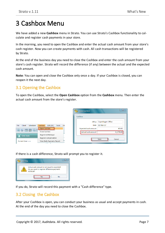## <span id="page-6-0"></span>3 Cashbox Menu

We have added a new **Cashbox** menu in Strato. You can use Strato's Cashbox functionality to calculate and register cash payments in your store.

In the morning, you need to open the Cashbox and enter the actual cash amount from your store's cash register. Now you can create payments with cash. All cash transactions will be registered by Strato.

At the end of the business day you need to close the Cashbox and enter the cash amount from your store's cash register. Strato will record the difference (if any) between the actual and the expected cash amount.

<span id="page-6-1"></span>**Note**: You can open and close the Cashbox only once a day. If your Cashbox is closed, you can reopen it the next day.

### 3.1 Opening the Cashbox

To open the Cashbox, select the **Open Cashbox** option from the **Cashbox** menu. Then enter the actual cash amount from the store's register.

|                             |                                           |    | <b>Open Cashbox</b>         | 25                |
|-----------------------------|-------------------------------------------|----|-----------------------------|-------------------|
|                             |                                           |    | Cashbox                     |                   |
|                             |                                           |    | Office                      | Copenhagen Office |
| File<br>Client<br>Scheduler | <b>Tools</b><br>Cashbox<br><b>EXPLORE</b> | He | Date                        | 02-Mar-17         |
| <b>RC 画菌因白</b>              | Open Cashbox                              |    | <b>Expected cash amount</b> | €0.00             |
|                             | Close Cashbox                             |    | Actual cash amount          | €,,378.00         |
| <b>Clinic Tasks</b>         | Register Withdrawal                       |    |                             |                   |
|                             | Register Compensation                     |    |                             | Cancel<br>Save    |
| Current User: a a           | View Daily Payments Report                | ts |                             |                   |
|                             | - 41                                      |    |                             |                   |

If there is a cash difference, Strato will prompt you to register it.



<span id="page-6-2"></span>If you do, Strato will record this payment with a "Cash difference" type.

#### 3.2 Closing the Cashbox

After your Cashbox is open, you can conduct your business as usual and accept payments in cash. At the end of the day you need to close the Cashbox.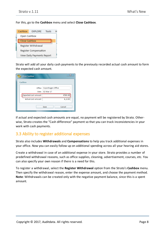#### For this, go to the **Cashbox** menu and select **Close Cashbox**.

| Cashbox               | EXPLORE                    | Tools | н |  |  |  |
|-----------------------|----------------------------|-------|---|--|--|--|
| Open Cashbox          |                            |       |   |  |  |  |
| Close Cashbox         |                            |       |   |  |  |  |
| Register Withdrawal   |                            |       |   |  |  |  |
| Register Compensation |                            |       |   |  |  |  |
|                       | View Daily Payments Report |       |   |  |  |  |

Strato will add all your daily cash payments to the previously recorded actual cash amount to form the expected cash amount.

| <b>Close Cashbox</b>        | ×                 |
|-----------------------------|-------------------|
| Cashbox                     |                   |
| Office                      | Copenhagen Office |
| Date                        | 02-Mar-17         |
| <b>Expected cash amount</b> | €503.00           |
| Actual cash amount          | €,,0.00           |
|                             | Cancel<br>Save    |

If actual and expected cash amounts are equal, no payment will be registered by Strato. Otherwise, Strato creates the "Cash difference" payment so that you can track inconsistencies in your work with cash payments.

#### <span id="page-7-0"></span>3.3 Ability to register additional expenses

Strato also includes **Withdrawals** and **Compensations** to help you track additional expenses in your office. Now you can easily follow up on additional spending across all your hearing aid stores.

Create a withdrawal in case of an additional expense in your store. Strato provides a number of predefined withdrawal reasons, such as office supplies, cleaning, advertisement, courses, etc. You can also specify your own reason if there is a need for this.

To register a withdrawal, select the **Register Withdrawal** option from the Strato's **Cashbox** menu. Then specify the withdrawal reason, enter the expense amount, and choose the payment method. **Note**: Withdrawals can be created only with the negative payment balance, since this is a spent amount.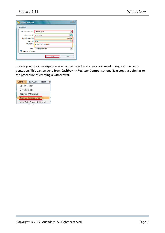| ×<br><b>Register Withdrawal</b>     |                                               |  |  |  |  |  |  |
|-------------------------------------|-----------------------------------------------|--|--|--|--|--|--|
| Withdrawal                          |                                               |  |  |  |  |  |  |
| Withdrawal reason   Office supplies |                                               |  |  |  |  |  |  |
| <b>Payment Date</b>                 | 02-Mar-17<br>ख                                |  |  |  |  |  |  |
| Payment Amount                      | (€75.00)                                      |  |  |  |  |  |  |
| Method Card                         |                                               |  |  |  |  |  |  |
| Description                         | Supplies for the office                       |  |  |  |  |  |  |
| Office                              | Copenhagen Office<br>$\overline{\phantom{a}}$ |  |  |  |  |  |  |
| Print receipt on save               |                                               |  |  |  |  |  |  |
|                                     | Cancel<br>Save                                |  |  |  |  |  |  |

In case your previous expenses are compensated in any way, you need to register the compensation. This can be done from **Cashbox -> Register Compensation**. Next steps are similar to the procedure of creating a withdrawal.

|                            | Cashbox               | <b>EXPLORE</b> | Tools |  |  |  |  |  |
|----------------------------|-----------------------|----------------|-------|--|--|--|--|--|
|                            | Open Cashbox          |                |       |  |  |  |  |  |
|                            | Close Cashbox         |                |       |  |  |  |  |  |
|                            | Register Withdrawal   |                |       |  |  |  |  |  |
|                            | Register Compensation |                |       |  |  |  |  |  |
| View Daily Payments Report |                       |                |       |  |  |  |  |  |
|                            |                       |                |       |  |  |  |  |  |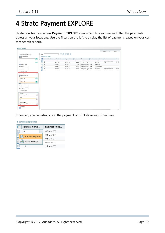## <span id="page-9-0"></span>4 Strato Payment EXPLORE

Strato now features a new **Payment EXPLORE** view which lets you see and filter the payments across all your locations. Use the filters on the left to display the list of payments based on your custom search criteria.

|                                                                              |                                                          |        |                     |                 |                                                                                                             |          |                       |      |              | Search         | Export |
|------------------------------------------------------------------------------|----------------------------------------------------------|--------|---------------------|-----------------|-------------------------------------------------------------------------------------------------------------|----------|-----------------------|------|--------------|----------------|--------|
| Payment registration date                                                    | $\sim$                                                   | Filter |                     |                 | $\boxed{\bullet}$ $\boxed{\bullet}$ $\boxed{\bullet}$ $\boxed{\bullet}$ $\boxed{\bullet}$ $\boxed{\bullet}$ |          |                       |      |              |                |        |
| Absolute Dates                                                               |                                                          |        | 6 payment(s) found: |                 |                                                                                                             |          |                       |      |              |                |        |
| From                                                                         | 間                                                        |        | Payment Numb        | Registration Da | <b>Payment Date</b>                                                                                         | Amou     | Office                | User | Payment Ty   | Client         | Docum  |
| To                                                                           |                                                          | п      | 6                   | 02-Mar-17       | 02-Mar-17                                                                                                   | €100.00  | Copenhagen Office a a |      | By invoice   | Johann Rasmuss | 00000  |
|                                                                              | 間                                                        | г      | $\overline{7}$      | 02-Mar-17       | 02-Mar-17                                                                                                   | €25.00   | Copenhagen Office     | a a  | By invoice   | Johann Rasmuss | 00000  |
| ◯ Relative Dates                                                             |                                                          | г      | 8                   | 02-Mar-17       | 02-Mar-17                                                                                                   | (E75.00) | Copenhagen Office a a |      | Withdrawal   |                |        |
| Last Days                                                                    |                                                          |        | 9                   | 02-Mar-17       | 02-Mar-17                                                                                                   | €50.00   | Copenhagen Office a a |      | Compensation |                |        |
| Next Days                                                                    |                                                          | г      | 12                  | 10-Mar-17       | 10-Mar-17                                                                                                   | €25.00   | Copenhagen Office a a |      | By invoice   | Johann Rasmuss | 00000  |
| Include today                                                                |                                                          | г      | 14                  | 13-Mar-17       | 13-Mar-17                                                                                                   | €25.00   | Copenhagen Office a a |      | By invoice   | Johann Rasmuss | 00000  |
| To<br>13-Mar-17<br>Relative Dates<br>Last Days<br>Next Days<br>Include today | 間                                                        |        |                     |                 |                                                                                                             |          |                       |      |              |                |        |
| Location<br>Copenhagen Office                                                | $\overline{\mathbf{x}}$<br>$\overline{\phantom{a}}$<br>× |        |                     |                 |                                                                                                             |          |                       |      |              |                |        |
| <b>Users</b><br>a a                                                          | $\overline{\phantom{a}}$                                 |        |                     |                 |                                                                                                             |          |                       |      |              |                |        |
| Payment type<br>By invoice, Withdrawal, Co                                   | $\times$<br>$\mathbf{v}$                                 |        |                     |                 |                                                                                                             |          |                       |      |              |                |        |
| Is Cancelled<br>□                                                            |                                                          |        |                     |                 |                                                                                                             |          |                       |      |              |                |        |

If needed, you can also cancel the payment or print its receipt from here.

| 6 payment(s) found: |                |                        |  |  |  |  |  |
|---------------------|----------------|------------------------|--|--|--|--|--|
|                     | Payment Numb   | <b>Registration Da</b> |  |  |  |  |  |
|                     | 6              | 02-Mar-17              |  |  |  |  |  |
|                     | Cancel Payment | 02-Mar-17              |  |  |  |  |  |
|                     |                | 02-Mar-17              |  |  |  |  |  |
|                     | Print Receipt  | 02-Mar-17              |  |  |  |  |  |

12

02-Mar-17 10-Mar-17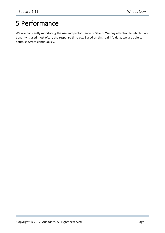## <span id="page-10-0"></span>5 Performance

We are constantly monitoring the use and performance of Strato. We pay attention to which functionality is used most often, the response time etc. Based on this real-life data, we are able to optimise Strato continuously.